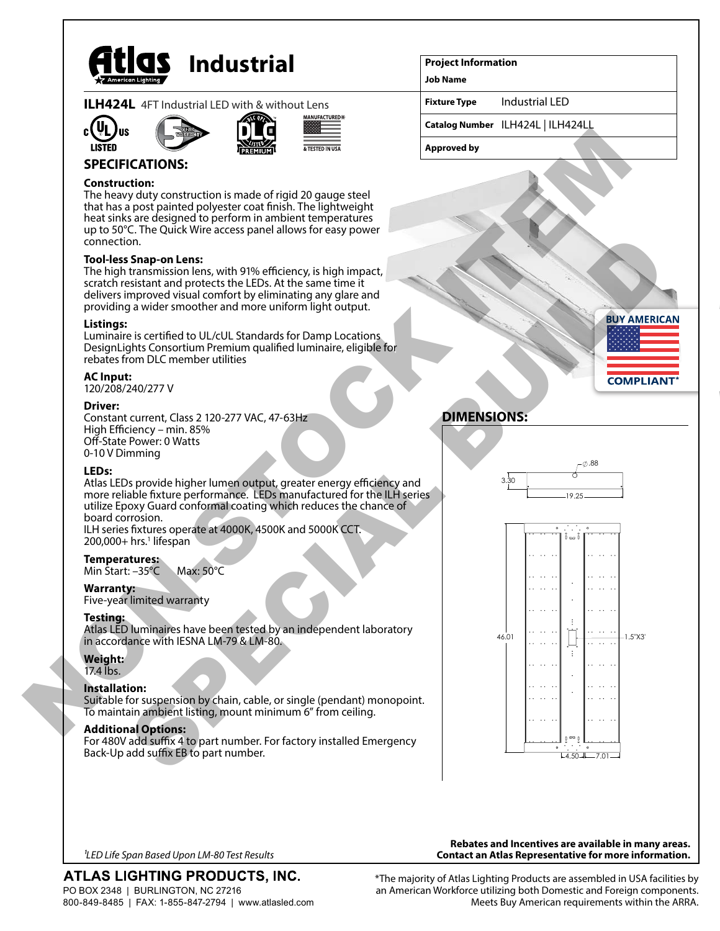

| <b>ILH424L</b> 4FT Industrial LED with & without Lens |  |
|-------------------------------------------------------|--|
|                                                       |  |







# **SPECIFICATIONS:**

## **Construction:**

The heavy duty construction is made of rigid 20 gauge steel that has a post painted polyester coat finish. The lightweight heat sinks are designed to perform in ambient temperatures up to 50°C. The Quick Wire access panel allows for easy power connection.

## **Tool-less Snap-on Lens:**

The high transmission lens, with 91% efficiency, is high impact, scratch resistant and protects the LEDs. At the same time it delivers improved visual comfort by eliminating any glare and providing a wider smoother and more uniform light output.

#### **Listings:**

Luminaire is certified to UL/cUL Standards for Damp Locations DesignLights Consortium Premium qualified luminaire, eligible for rebates from DLC member utilities

#### **AC Input:**

120/208/240/277 V

#### **Driver:**

Constant current, Class 2 120-277 VAC, 47-63Hz High Efficiency – min. 85% Off-State Power: 0 Watts 0-10 V Dimming

#### **LEDs:**

Atlas LEDs provide higher lumen output, greater energy efficiency and more reliable fixture performance. LEDs manufactured for the ILH series utilize Epoxy Guard conformal coating which reduces the chance of board corrosion. ILH series fixtures operate at 4000K, 4500K and 5000K CCT.

200,000+ hrs.<sup>1</sup> lifespan

# **Temperatures:**

Min Start: –35°C Max: 50°C

#### **Warranty:**

Five-year limited warranty

## **Testing:**

Atlas LED luminaires have been tested by an independent laboratory in accordance with IESNA LM-79 & LM-80.

# **Weight:**

17.4 lbs.

## **Installation:**

Suitable for suspension by chain, cable, or single (pendant) monopoint. To maintain ambient listing, mount minimum 6" from ceiling.

## **Additional Options:**

For 480V add suffix 4 to part number. For factory installed Emergency Back-Up add suffix EB to part number.

#### **Project Information**

**Job Name**

**Fixture Type** Industrial LED

**Catalog Number** ILH424L | ILH424LL

**Approved by**



# **DIMENSIONS:**





*1LED Life Span Based Upon LM-80 Test Results*

ATLAS LIGHTING PRODUCTS, INC. PO BOX 2348 | BURLINGTON, NC 27216 800-849-8485 | FAX: 1-855-847-2794 | www.atlasled.com

**Rebates and Incentives are available in many areas. Contact an Atlas Representative for more information.**

\*The majority of Atlas Lighting Products are assembled in USA facilities by an American Workforce utilizing both Domestic and Foreign components. Meets Buy American requirements within the ARRA.